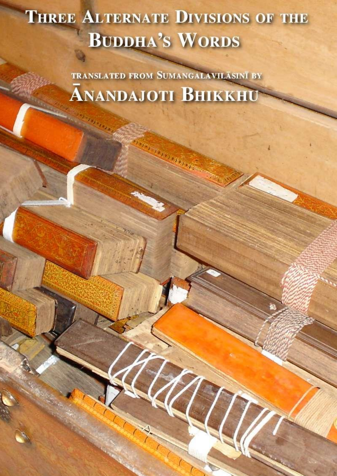# **THREE ALTERNATE DIVISIONS OF THE BUDDHA'S WORDS**

TRANSLATED FROM SUMANGALAVILASINI BY **ANANDAJOTI BHIKKHU**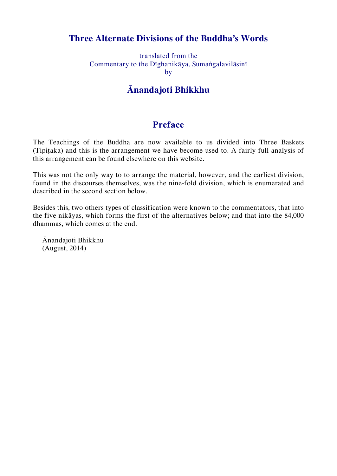# **Three Alternate Divisions of the Buddha's Words**

translated from the Commentary to the Dīghanikāya, Sumaṅgalavilāsinī by

# **Ānandajoti Bhikkhu**

# **Preface**

The Teachings of the Buddha are now available to us divided into Three Baskets (Tipiṭaka) and this is the arrangement we have become used to. A fairly full analysis of this arrangement can be found elsewhere on this website.

This was not the only way to to arrange the material, however, and the earliest division, found in the discourses themselves, was the nine-fold division, which is enumerated and described in the second section below.

Besides this, two others types of classification were known to the commentators, that into the five nikāyas, which forms the first of the alternatives below; and that into the 84,000 dhammas, which comes at the end.

Ānandajoti Bhikkhu (August, 2014)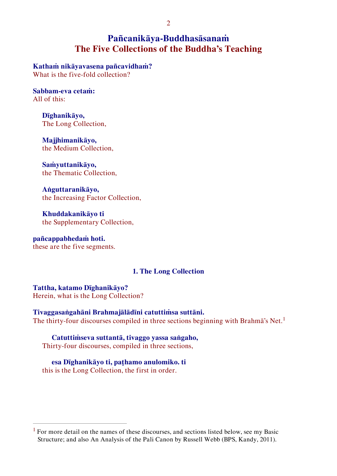# **Pañcanikāya-Buddhasāsanaṁ The Five Collections of the Buddha's Teaching**

**Kathaṁ nikāyavasena pañcavidhaṁ?**  What is the five-fold collection?

**Sabbam-eva cetaṁ:** All of this:

> **Dīghanikāyo,**  The Long Collection,

**Majjhimanikāyo,**  the Medium Collection,

**Saṁyuttanikāyo,** the Thematic Collection,

**Aṅguttaranikāyo,**  the Increasing Factor Collection,

**Khuddakanikāyo ti**  the Supplementary Collection,

**pañcappabhedaṁ hoti.** these are the five segments.

 $\overline{a}$ 

#### **1. The Long Collection**

**Tattha, katamo Dīghanikāyo?**  Herein, what is the Long Collection?

**Tivaggasaṅgahāni Brahmajālādīni catuttiṁsa suttāni.** The thirty-four discourses compiled in three sections beginning with Brahma's Net.<sup>1</sup>

# **Catuttiṁseva suttantā, tivaggo yassa saṅgaho,**

Thirty-four discourses, compiled in three sections,

**esa Dīghanikāyo ti, paṭhamo anulomiko. ti** this is the Long Collection, the first in order.

<sup>&</sup>lt;sup>1</sup> For more detail on the names of these discourses, and sections listed below, see my Basic Structure; and also An Analysis of the Pali Canon by Russell Webb (BPS, Kandy, 2011).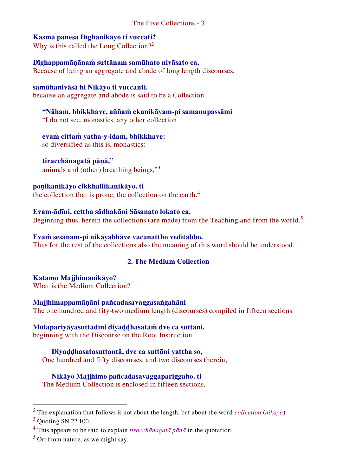# **Kasmā panesa Dīghanikāyo ti vuccati?**

Why is this called the Long Collection?<sup>2</sup>

**Dīghappamāṇānaṁ suttānaṁ samūhato nivāsato ca,** Because of being an aggregate and abode of long length discourses,

# **samūhanivāsā hi Nikāyo ti vuccanti.**

because an aggregate and abode is said to be a Collection.

**"Nāhaṁ, bhikkhave, aññaṁ ekanikāyam-pi samanupassāmi**  "I do not see, monastics, any other collection

**evaṁ cittaṁ yatha-y-idaṁ, bhikkhave:** so diversified as this is, monastics:

**tiracchānagatā pāṇā,"** animals and (other) breathing beings,"<sup>3</sup>

# **poṇikanikāyo cikkhallikanikāyo. ti**

the collection that is prone, the collection on the earth.<sup>4</sup>

# **Evam-ādīni, cettha sādhakāni Sāsanato lokato ca.**

Beginning thus, herein the collections (are made) from the Teaching and from the world.<sup>5</sup>

**Evaṁ sesānam-pi nikāyabhāve vacanattho veditabbo.** Thus for the rest of the collections also the meaning of this word should be understood.

# **2. The Medium Collection**

**Katamo Majjhimanikāyo?** What is the Medium Collection?

**Majjhimappamāṇāni pañcadasavaggasaṅgahāni**  The one hundred and fity-two medium length (discourses) compiled in fifteen sections

#### **Mūlapariyāyasuttādīni diyaḍḍhasataṁ dve ca suttāni.** beginning with the Discourse on the Root Instruction.

**Diyaḍḍhasatasuttantā, dve ca suttāni yattha so,**

One hundred and fifty discourses, and two discourses therein,

# **Nikāyo Majjhimo pañcadasavaggapariggaho. ti**

The Medium Collection is enclosed in fifteen sections.

<sup>2</sup> The explanation that follows is not about the length, but about the word *collection* (*nikāya*).

 $3$  Quoting SN 22.100.

<sup>4</sup> This appears to be said to explain *tiracchānagatā pāṇā* in the quotation.

 $<sup>5</sup>$  Or: from nature, as we might say.</sup>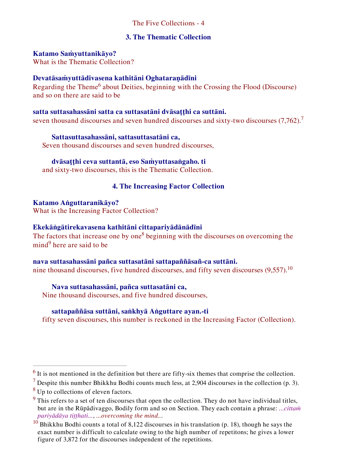### The Five Collections - 4

### **3. The Thematic Collection**

#### **Katamo Saṁyuttanikāyo?**

What is the Thematic Collection?

# **Devatāsaṁyuttādivasena kathitāni Oghataraṇādīni**

Regarding the Theme<sup>6</sup> about Deities, beginning with the Crossing the Flood (Discourse) and so on there are said to be

# **satta suttasahassāni satta ca suttasatāni dvāsaṭṭhi ca suttāni.**

seven thousand discourses and seven hundred discourses and sixty-two discourses  $(7.762)^7$ 

#### **Sattasuttasahassāni, sattasuttasatāni ca,**

Seven thousand discourses and seven hundred discourses,

#### **dvāsaṭṭhi ceva suttantā, eso Saṁyuttasaṅgaho. ti**

and sixty-two discourses, this is the Thematic Collection.

### **4. The Increasing Factor Collection**

### **Katamo Aṅguttaranikāyo?**

What is the Increasing Factor Collection?

# **Ekekāṅgātirekavasena kathitāni cittapariyādānādīni**

The factors that increase one by one<sup>8</sup> beginning with the discourses on overcoming the  $mind<sup>9</sup>$  here are said to be

#### **nava suttasahassāni pañca suttasatāni sattapaññāsañ-ca suttāni.**

nine thousand discourses, five hundred discourses, and fifty seven discourses  $(9,557)$ .<sup>10</sup>

#### **Nava suttasahassāni, pañca suttasatāni ca,**

Nine thousand discourses, and five hundred discourses,

#### **sattapaññāsa suttāni, saṅkhyā Aṅguttare ayan.-ti**

fifty seven discourses, this number is reckoned in the Increasing Factor (Collection).

 $<sup>6</sup>$  It is not mentioned in the definition but there are fifty-six themes that comprise the collection.</sup>

<sup>&</sup>lt;sup>7</sup> Despite this number Bhikkhu Bodhi counts much less, at 2,904 discourses in the collection (p. 3).

<sup>&</sup>lt;sup>8</sup> Up to collections of eleven factors.

 $9$  This refers to a set of ten discourses that open the collection. They do not have individual titles, but are in the Rūpādivaggo, Bodily form and so on Section. They each contain a phrase: *...cittaṁ pariyādāya tiṭṭhati...*, *...overcoming the mind..*.

 $10$  Bhikkhu Bodhi counts a total of 8,122 discourses in his translation (p. 18), though he says the exact number is difficult to calculate owing to the high number of repetitons; he gives a lower figure of 3,872 for the discourses independent of the repetitions.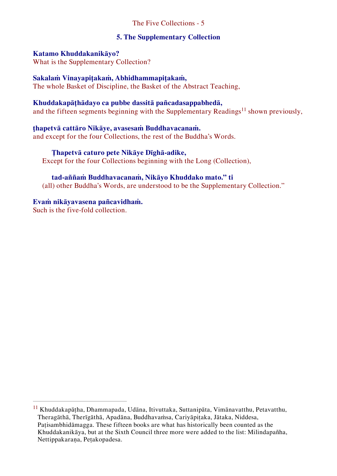# The Five Collections - 5

#### **5. The Supplementary Collection**

#### **Katamo Khuddakanikāyo?**

What is the Supplementary Collection?

## **Sakalaṁ Vinayapiṭakaṁ, Abhidhammapiṭakaṁ,**

The whole Basket of Discipline, the Basket of the Abstract Teaching,

## **Khuddakapāṭhādayo ca pubbe dassitā pañcadasappabhedā,**

and the fifteen segments beginning with the Supplementary Readings<sup>11</sup> shown previously,

### **ṭhapetvā cattāro Nikāye, avasesaṁ Buddhavacanaṁ.**

and except for the four Collections, the rest of the Buddha's Words.

#### **Ṭhapetvā caturo pete Nikāye Dīghā-adike,**

Except for the four Collections beginning with the Long (Collection),

### **tad-aññaṁ Buddhavacanaṁ, Nikāyo Khuddako mato." ti**

(all) other Buddha's Words, are understood to be the Supplementary Collection."

### **Evaṁ nikāyavasena pañcavidhaṁ.**

Such is the five-fold collection.

<sup>11</sup> Khuddakapāṭha, Dhammapada, Udāna, Itivuttaka, Suttanipāta, Vimānavatthu, Petavatthu, Theragāthā, Therīgāthā, Apadāna, Buddhavaṁsa, Cariyāpiṭaka, Jātaka, Niddesa, Paṭisambhidāmagga. These fifteen books are what has historically been counted as the Khuddakanikāya, but at the Sixth Council three more were added to the list: Milindapañha, Nettippakaraṇa, Peṭakopadesa.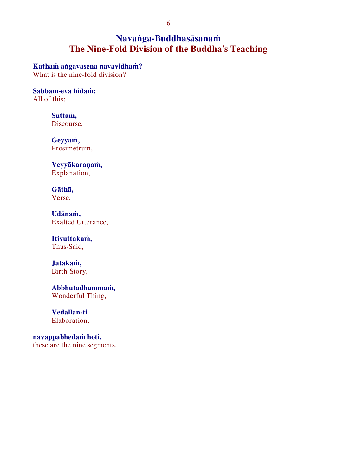# **Navaṅga-Buddhasāsanaṁ The Nine-Fold Division of the Buddha's Teaching**

**Kathaṁ aṅgavasena navavidhaṁ?** 

What is the nine-fold division?

**Sabbam-eva hidaṁ:** All of this:

> **Suttaṁ,**  Discourse,

**Geyyaṁ,**  Prosimetrum,

**Veyyākaraṇaṁ,**  Explanation,

**Gāthā,**  Verse,

**Udānaṁ,** Exalted Utterance,

**Itivuttakaṁ,**  Thus-Said,

**Jātakaṁ,**  Birth-Story,

**Abbhutadhammaṁ,**  Wonderful Thing,

**Vedallan-ti** Elaboration,

**navappabhedaṁ hoti.**  these are the nine segments.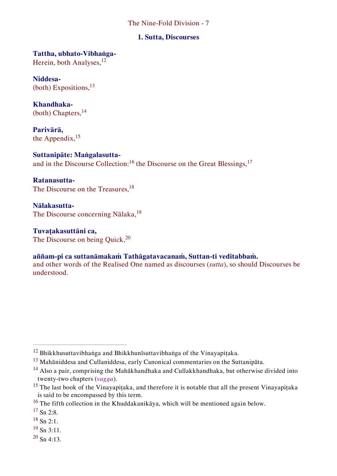#### **1. Sutta, Discourses**

**Tattha, ubhato-Vibhaṅga-**Herein, both Analyses, <sup>12</sup>

**Niddesa-** (both) Expositions,  $^{13}$ 

**Khandhaka-** (both) Chapters, <sup>14</sup>

**Parivārā,**  the Appendix, <sup>15</sup>

**Suttanipāte: Maṅgalasutta**and in the Discourse Collection:<sup>16</sup> the Discourse on the Great Blessings,<sup>17</sup>

**Ratanasutta-**The Discourse on the Treasures,<sup>18</sup>

**Nālakasutta-**The Discourse concerning Nālaka,<sup>19</sup>

**Tuvaṭakasuttāni ca,** The Discourse on being Quick, <sup>20</sup>

# **aññam-pi ca suttanāmakaṁ Tathāgatavacanaṁ, Suttan-ti veditabbaṁ.**

and other words of the Realised One named as discourses (*sutta*), so should Discourses be understood.

 $\overline{a}$ 

 $19$  Sn 3:11.

 $^{20}$  Sn 4:13.

 $12$  Bhikkhusuttavibhaṅga and Bhikkhunīsuttavibhaṅga of the Vinayapiṭaka.

<sup>13</sup> Mahāniddesa and Cullaniddesa, early Canonical commentaries on the Suttanipāta.

<sup>14</sup> Also a pair, comprising the Mahākhandhaka and Cullakkhandhaka, but otherwise divided into twenty-two chapters (*vagga*).

<sup>&</sup>lt;sup>15</sup> The last book of the Vinayapiṭaka, and therefore it is notable that all the present Vinayapiṭaka is said to be encompassed by this term.

<sup>&</sup>lt;sup>16</sup> The fifth collection in the Khuddakanikāya, which will be mentioned again below.

 $17$  Sn 2:8.

 $18$  Sn 2:1.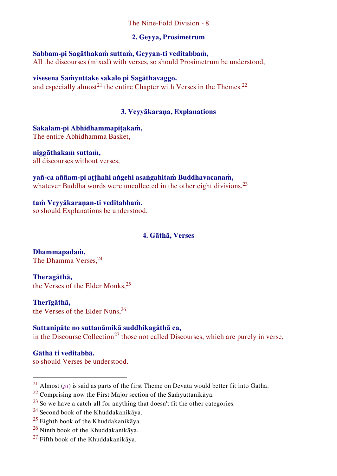# **2. Geyya, Prosimetrum**

**Sabbam-pi Sagāthakaṁ suttaṁ, Geyyan-ti veditabbaṁ,**  All the discourses (mixed) with verses, so should Prosimetrum be understood,

**visesena Saṁyuttake sakalo pi Sagāthavaggo.** and especially almost<sup>21</sup> the entire Chapter with Verses in the Themes.<sup>22</sup>

## **3. Veyyākaraṇa, Explanations**

**Sakalam-pi Abhidhammapiṭakaṁ,**  The entire Abhidhamma Basket,

**niggāthakaṁ suttaṁ,**  all discourses without verses,

**yañ-ca aññam-pi aṭṭhahi aṅgehi asaṅgahitaṁ Buddhavacanaṁ,**  whatever Buddha words were uncollected in the other eight divisions,<sup>23</sup>

**taṁ Veyyākaraṇan-ti veditabbaṁ.** so should Explanations be understood.

#### **4. Gāthā, Verses**

**Dhammapadaṁ,**  The Dhamma Verses.<sup>24</sup>

**Theragāthā,** the Verses of the Elder Monks,<sup>25</sup>

**Therīgāthā,**  the Verses of the Elder Nuns.<sup>26</sup>

# **Suttanipāte no suttanāmikā suddhikagāthā ca,**  in the Discourse Collection<sup>27</sup> those not called Discourses, which are purely in verse,

**Gāthā ti veditabbā.** so should Verses be understood.

<sup>&</sup>lt;sup>21</sup> Almost (*pi*) is said as parts of the first Theme on Devata would better fit into Gatha.

<sup>&</sup>lt;sup>22</sup> Comprising now the First Major section of the Samyuttanikaya.

 $23$  So we have a catch-all for anything that doesn't fit the other categories.

 $^{24}$  Second book of the Khuddakanikāya.

 $^{25}$  Eighth book of the Khuddakanikāya.

<sup>26</sup> Ninth book of the Khuddakanikāya.

 $27$  Fifth book of the Khuddakanikāya.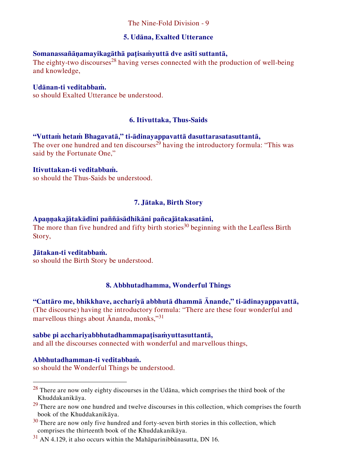### **5. Udāna, Exalted Utterance**

# **Somanassañāṇamayikagāthā paṭisaṁyuttā dve asīti suttantā,**

The eighty-two discourses<sup>28</sup> having verses connected with the production of well-being and knowledge,

### **Udānan-ti veditabbaṁ.**

so should Exalted Utterance be understood.

# **6. Itivuttaka, Thus-Saids**

### **"Vuttaṁ hetaṁ Bhagavatā," ti-ādinayappavattā dasuttarasatasuttantā,**

The over one hundred and ten discourses<sup>29</sup> having the introductory formula: "This was said by the Fortunate One,"

#### **Itivuttakan-ti veditabbaṁ.**

so should the Thus-Saids be understood.

# **7. Jātaka, Birth Story**

### **Apaṇṇakajātakādīni paññāsādhikāni pañcajātakasatāni,**

The more than five hundred and fifty birth stories<sup>30</sup> beginning with the Leafless Birth Story,

#### **Jātakan-ti veditabbaṁ.**

so should the Birth Story be understood.

# **8. Abbhutadhamma, Wonderful Things**

**"Cattāro me, bhikkhave, acchariyā abbhutā dhammā Ānande," ti-ādinayappavattā,**  (The discourse) having the introductory formula: "There are these four wonderful and marvellous things about  $\bar{A}$ nanda, monks,"<sup>31</sup>

#### **sabbe pi acchariyabbhutadhammapaṭisaṁyuttasuttantā,**

and all the discourses connected with wonderful and marvellous things,

# **Abbhutadhamman-ti veditabbaṁ.**

 $\overline{a}$ 

so should the Wonderful Things be understood.

<sup>28</sup> There are now only eighty discourses in the Udāna, which comprises the third book of the Khuddakanikāya.

 $29$  There are now one hundred and twelve discourses in this collection, which comprises the fourth book of the Khuddakanikāya.

 $30$  There are now only five hundred and forty-seven birth stories in this collection, which comprises the thirteenth book of the Khuddakanikāya.

 $31$  AN 4.129, it also occurs within the Mahaparinibbanasutta, DN 16.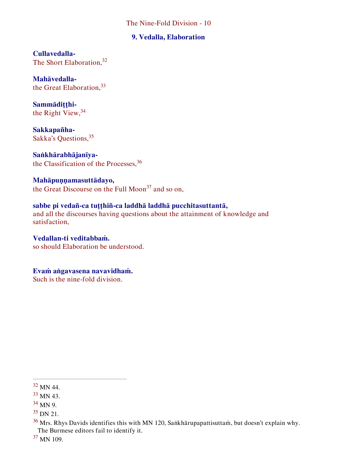#### **9. Vedalla, Elaboration**

**Cullavedalla-**The Short Elaboration.<sup>32</sup>

**Mahāvedalla**the Great Elaboration, 33

**Sammādiṭṭhi**the Right View, 34

**Sakkapañha-**Sakka's Questions, 35

**Saṅkhārabhājanīya**the Classification of the Processes,<sup>36</sup>

# **Mahāpuṇṇamasuttādayo,**

the Great Discourse on the Full Moon<sup>37</sup> and so on,

# **sabbe pi vedañ-ca tuṭṭhiñ-ca laddhā laddhā pucchitasuttantā,**

and all the discourses having questions about the attainment of knowledge and satisfaction,

**Vedallan-ti veditabbaṁ.**  so should Elaboration be understood.

**Evaṁ aṅgavasena navavidhaṁ.**

Such is the nine-fold division.

 $\overline{a}$ 

<sup>37</sup> MN 109.

<sup>32</sup> MN 44.

<sup>33</sup> MN 43.

<sup>34</sup> MN 9.

<sup>35</sup> DN 21.

<sup>36</sup> Mrs. Rhys Davids identifies this with MN 120, Saṅkhārupapattisuttaṁ, but doesn't explain why. The Burmese editors fail to identify it.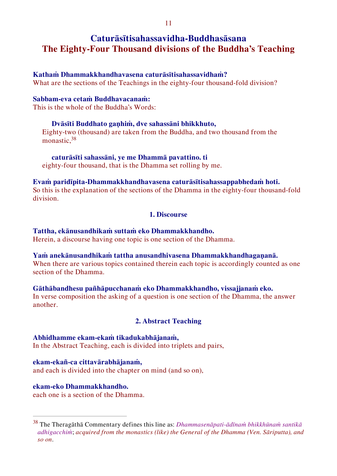# **Caturāsītisahassavidha-Buddhasāsana The Eighty-Four Thousand divisions of the Buddha's Teaching**

#### **Kathaṁ Dhammakkhandhavasena caturāsītisahassavidhaṁ?**

What are the sections of the Teachings in the eighty-four thousand-fold division?

#### **Sabbam-eva cetaṁ Buddhavacanaṁ:**

This is the whole of the Buddha's Words:

#### **Dvāsīti Buddhato gaṇhiṁ, dve sahassāni bhikkhuto,**

Eighty-two (thousand) are taken from the Buddha, and two thousand from the monastic.<sup>38</sup>

### **caturāsīti sahassāni, ye me Dhammā pavattino. ti**

eighty-four thousand, that is the Dhamma set rolling by me.

#### **Evaṁ paridīpita-Dhammakkhandhavasena caturāsītisahassappabhedaṁ hoti.**

So this is the explanation of the sections of the Dhamma in the eighty-four thousand-fold division.

### **1. Discourse**

## **Tattha, ekānusandhikaṁ suttaṁ eko Dhammakkhandho.**

Herein, a discourse having one topic is one section of the Dhamma.

# **Yaṁ anekānusandhikaṁ tattha anusandhivasena Dhammakkhandhagaṇanā.**

When there are various topics contained therein each topic is accordingly counted as one section of the Dhamma.

# **Gāthābandhesu pañhāpucchanaṁ eko Dhammakkhandho, vissajjanaṁ eko.**

In verse composition the asking of a question is one section of the Dhamma, the answer another.

# **2. Abstract Teaching**

#### **Abhidhamme ekam-ekaṁ tikadukabhājanaṁ,**

In the Abstract Teaching, each is divided into triplets and pairs,

#### **ekam-ekañ-ca cittavārabhājanaṁ,**

and each is divided into the chapter on mind (and so on),

#### **ekam-eko Dhammakkhandho.**

 $\overline{a}$ 

each one is a section of the Dhamma.

<sup>38</sup> The Theragāthā Commentary defines this line as: *Dhammasenāpati-ādīnaṁ bhikkhūnaṁ santikā adhigacchiṁ*; *acquired from the monastics (like) the General of the Dhamma (Ven. Sāriputta), and so on*.